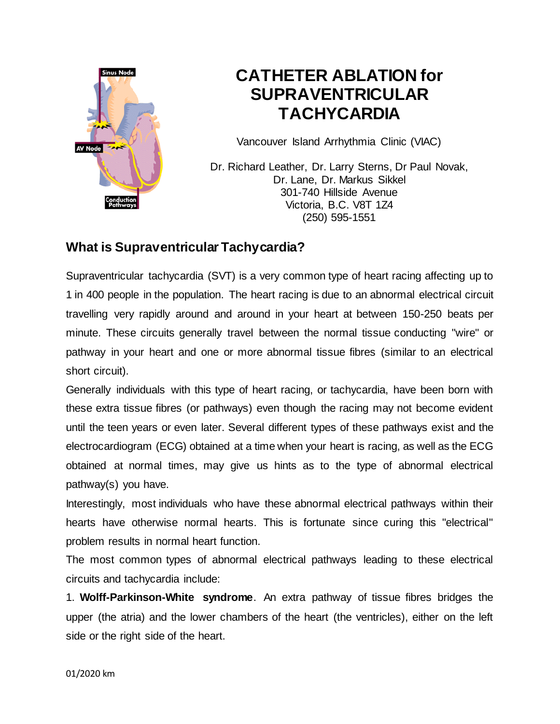

# **CATHETER ABLATION for SUPRAVENTRICULAR TACHYCARDIA**

Vancouver Island Arrhythmia Clinic (VIAC)

Dr. Richard Leather, Dr. Larry Sterns, Dr Paul Novak, Dr. Lane, Dr. Markus Sikkel 301-740 Hillside Avenue Victoria, B.C. V8T 1Z4 (250) 595-1551

### **What is Supraventricular Tachycardia?**

Supraventricular tachycardia (SVT) is a very common type of heart racing affecting up to 1 in 400 people in the population. The heart racing is due to an abnormal electrical circuit travelling very rapidly around and around in your heart at between 150-250 beats per minute. These circuits generally travel between the normal tissue conducting "wire" or pathway in your heart and one or more abnormal tissue fibres (similar to an electrical short circuit).

Generally individuals with this type of heart racing, or tachycardia, have been born with these extra tissue fibres (or pathways) even though the racing may not become evident until the teen years or even later. Several different types of these pathways exist and the electrocardiogram (ECG) obtained at a time when your heart is racing, as well as the ECG obtained at normal times, may give us hints as to the type of abnormal electrical pathway(s) you have.

Interestingly, most individuals who have these abnormal electrical pathways within their hearts have otherwise normal hearts. This is fortunate since curing this "electrical" problem results in normal heart function.

The most common types of abnormal electrical pathways leading to these electrical circuits and tachycardia include:

1. **Wolff-Parkinson-White syndrome**. An extra pathway of tissue fibres bridges the upper (the atria) and the lower chambers of the heart (the ventricles), either on the left side or the right side of the heart.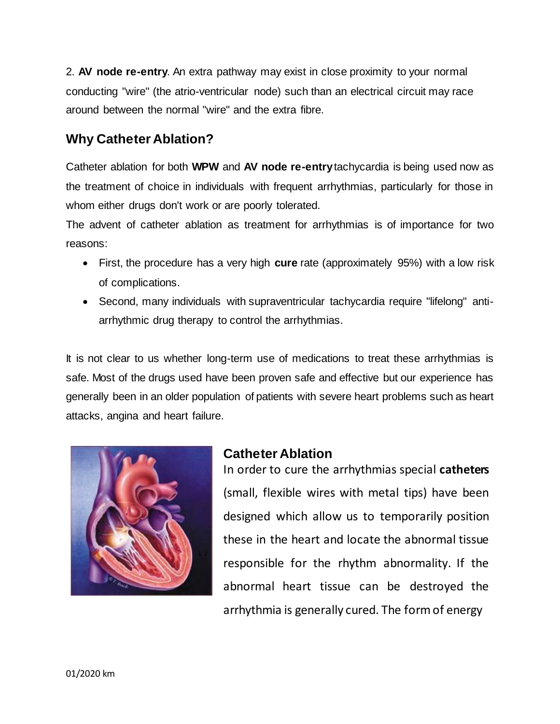2. **AV node re-entry**. An extra pathway may exist in close proximity to your normal conducting "wire" (the atrio-ventricular node) such than an electrical circuit may race around between the normal "wire" and the extra fibre.

## **Why Catheter Ablation?**

Catheter ablation for both **WPW** and **AV node re-entry** tachycardia is being used now as the treatment of choice in individuals with frequent arrhythmias, particularly for those in whom either drugs don't work or are poorly tolerated.

The advent of catheter ablation as treatment for arrhythmias is of importance for two reasons:

- First, the procedure has a very high **cure** rate (approximately 95%) with a low risk of complications.
- Second, many individuals with supraventricular tachycardia require "lifelong" antiarrhythmic drug therapy to control the arrhythmias.

It is not clear to us whether long-term use of medications to treat these arrhythmias is safe. Most of the drugs used have been proven safe and effective but our experience has generally been in an older population of patients with severe heart problems such as heart attacks, angina and heart failure.



## **Catheter Ablation**

In order to cure the arrhythmias special **catheters**  (small, flexible wires with metal tips) have been designed which allow us to temporarily position these in the heart and locate the abnormal tissue responsible for the rhythm abnormality. If the abnormal heart tissue can be destroyed the arrhythmia is generally cured. The form of energy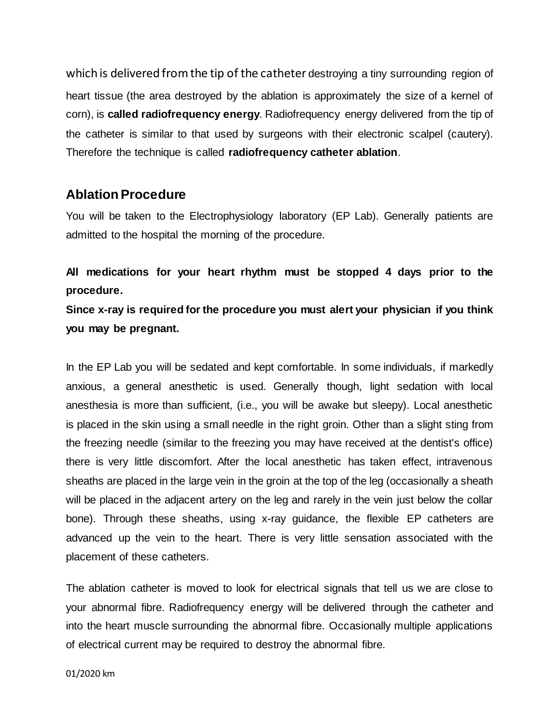which is delivered from the tip of the catheter destroying a tiny surrounding region of heart tissue (the area destroyed by the ablation is approximately the size of a kernel of corn), is **called radiofrequency energy**. Radiofrequency energy delivered from the tip of the catheter is similar to that used by surgeons with their electronic scalpel (cautery). Therefore the technique is called **radiofrequency catheter ablation**.

#### **Ablation Procedure**

You will be taken to the Electrophysiology laboratory (EP Lab). Generally patients are admitted to the hospital the morning of the procedure.

**All medications for your heart rhythm must be stopped 4 days prior to the procedure.**

**Since x-ray is required for the procedure you must alert your physician if you think you may be pregnant.**

In the EP Lab you will be sedated and kept comfortable. In some individuals, if markedly anxious, a general anesthetic is used. Generally though, light sedation with local anesthesia is more than sufficient, (i.e., you will be awake but sleepy). Local anesthetic is placed in the skin using a small needle in the right groin. Other than a slight sting from the freezing needle (similar to the freezing you may have received at the dentist's office) there is very little discomfort. After the local anesthetic has taken effect, intravenous sheaths are placed in the large vein in the groin at the top of the leg (occasionally a sheath will be placed in the adjacent artery on the leg and rarely in the vein just below the collar bone). Through these sheaths, using x-ray guidance, the flexible EP catheters are advanced up the vein to the heart. There is very little sensation associated with the placement of these catheters.

The ablation catheter is moved to look for electrical signals that tell us we are close to your abnormal fibre. Radiofrequency energy will be delivered through the catheter and into the heart muscle surrounding the abnormal fibre. Occasionally multiple applications of electrical current may be required to destroy the abnormal fibre.